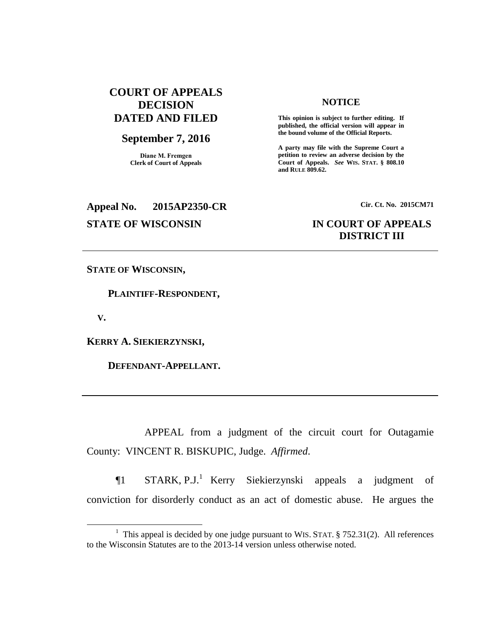# **COURT OF APPEALS DECISION DATED AND FILED**

# **September 7, 2016**

**Diane M. Fremgen Clerk of Court of Appeals**

## **NOTICE**

**This opinion is subject to further editing. If published, the official version will appear in the bound volume of the Official Reports.** 

**A party may file with the Supreme Court a petition to review an adverse decision by the Court of Appeals.** *See* **WIS. STAT. § 808.10 and RULE 809.62.** 

# **Appeal No. 2015AP2350-CR Cir. Ct. No. 2015CM71**

# **STATE OF WISCONSIN IN COURT OF APPEALS DISTRICT III**

**STATE OF WISCONSIN,**

 **PLAINTIFF-RESPONDENT,**

 **V.**

 $\overline{a}$ 

**KERRY A. SIEKIERZYNSKI,**

 **DEFENDANT-APPELLANT.**

APPEAL from a judgment of the circuit court for Outagamie County: VINCENT R. BISKUPIC, Judge. *Affirmed*.

 $\P$ 1 STARK, P.J.<sup>1</sup> Kerry Siekierzynski appeals a judgment of conviction for disorderly conduct as an act of domestic abuse. He argues the

<sup>&</sup>lt;sup>1</sup> This appeal is decided by one judge pursuant to WIS. STAT.  $\S$  752.31(2). All references to the Wisconsin Statutes are to the 2013-14 version unless otherwise noted.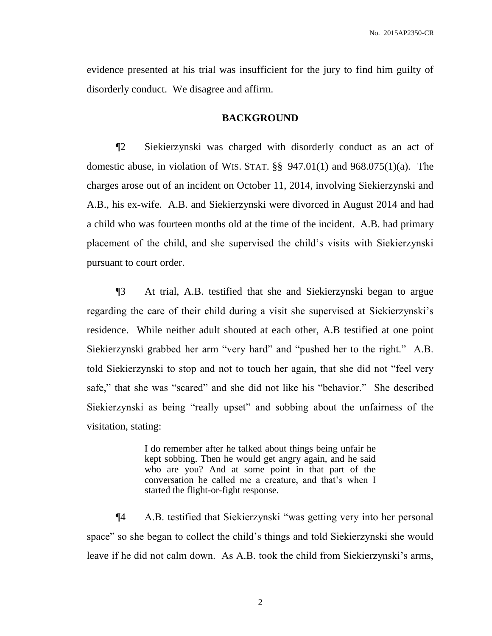evidence presented at his trial was insufficient for the jury to find him guilty of disorderly conduct. We disagree and affirm.

### **BACKGROUND**

¶2 Siekierzynski was charged with disorderly conduct as an act of domestic abuse, in violation of WIS. STAT. §§ 947.01(1) and 968.075(1)(a). The charges arose out of an incident on October 11, 2014, involving Siekierzynski and A.B., his ex-wife. A.B. and Siekierzynski were divorced in August 2014 and had a child who was fourteen months old at the time of the incident. A.B. had primary placement of the child, and she supervised the child's visits with Siekierzynski pursuant to court order.

¶3 At trial, A.B. testified that she and Siekierzynski began to argue regarding the care of their child during a visit she supervised at Siekierzynski's residence. While neither adult shouted at each other, A.B testified at one point Siekierzynski grabbed her arm "very hard" and "pushed her to the right." A.B. told Siekierzynski to stop and not to touch her again, that she did not "feel very safe," that she was "scared" and she did not like his "behavior." She described Siekierzynski as being "really upset" and sobbing about the unfairness of the visitation, stating:

> I do remember after he talked about things being unfair he kept sobbing. Then he would get angry again, and he said who are you? And at some point in that part of the conversation he called me a creature, and that's when I started the flight-or-fight response.

¶4 A.B. testified that Siekierzynski "was getting very into her personal space" so she began to collect the child's things and told Siekierzynski she would leave if he did not calm down. As A.B. took the child from Siekierzynski's arms,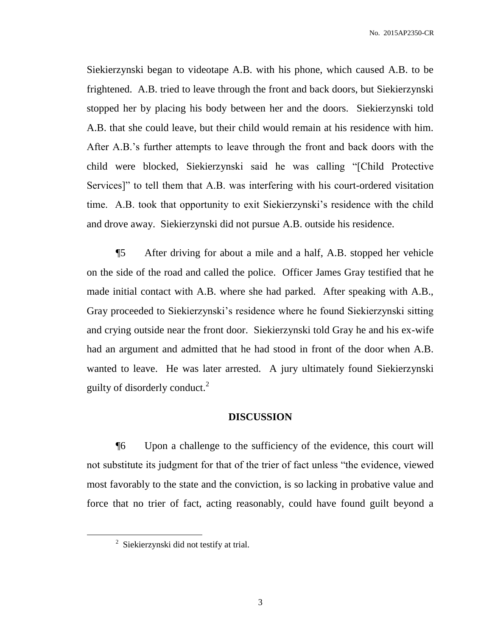Siekierzynski began to videotape A.B. with his phone, which caused A.B. to be frightened. A.B. tried to leave through the front and back doors, but Siekierzynski stopped her by placing his body between her and the doors. Siekierzynski told A.B. that she could leave, but their child would remain at his residence with him. After A.B.'s further attempts to leave through the front and back doors with the child were blocked, Siekierzynski said he was calling "[Child Protective Services]" to tell them that A.B. was interfering with his court-ordered visitation time. A.B. took that opportunity to exit Siekierzynski's residence with the child and drove away. Siekierzynski did not pursue A.B. outside his residence.

¶5 After driving for about a mile and a half, A.B. stopped her vehicle on the side of the road and called the police. Officer James Gray testified that he made initial contact with A.B. where she had parked. After speaking with A.B., Gray proceeded to Siekierzynski's residence where he found Siekierzynski sitting and crying outside near the front door. Siekierzynski told Gray he and his ex-wife had an argument and admitted that he had stood in front of the door when A.B. wanted to leave. He was later arrested. A jury ultimately found Siekierzynski guilty of disorderly conduct. $2$ 

# **DISCUSSION**

¶6 Upon a challenge to the sufficiency of the evidence, this court will not substitute its judgment for that of the trier of fact unless "the evidence, viewed most favorably to the state and the conviction, is so lacking in probative value and force that no trier of fact, acting reasonably, could have found guilt beyond a

 $\overline{a}$ 

<sup>&</sup>lt;sup>2</sup> Siekierzynski did not testify at trial.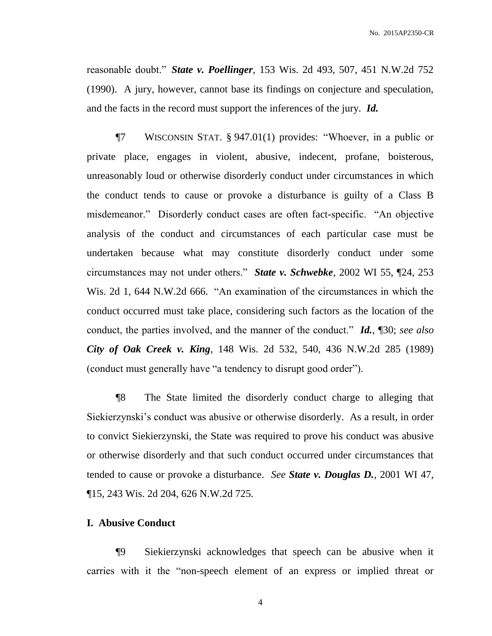reasonable doubt." *State v. Poellinger*, 153 Wis. 2d 493, 507, 451 N.W.2d 752 (1990). A jury, however, cannot base its findings on conjecture and speculation, and the facts in the record must support the inferences of the jury. *Id.*

¶7 WISCONSIN STAT. § 947.01(1) provides: "Whoever, in a public or private place, engages in violent, abusive, indecent, profane, boisterous, unreasonably loud or otherwise disorderly conduct under circumstances in which the conduct tends to cause or provoke a disturbance is guilty of a Class B misdemeanor." Disorderly conduct cases are often fact-specific. "An objective analysis of the conduct and circumstances of each particular case must be undertaken because what may constitute disorderly conduct under some circumstances may not under others." *State v. Schwebke*, 2002 WI 55, ¶24, 253 Wis. 2d 1, 644 N.W.2d 666. "An examination of the circumstances in which the conduct occurred must take place, considering such factors as the location of the conduct, the parties involved, and the manner of the conduct." *Id.*, ¶30; *see also City of Oak Creek v. King*, 148 Wis. 2d 532, 540, 436 N.W.2d 285 (1989) (conduct must generally have "a tendency to disrupt good order").

¶8 The State limited the disorderly conduct charge to alleging that Siekierzynski's conduct was abusive or otherwise disorderly. As a result, in order to convict Siekierzynski, the State was required to prove his conduct was abusive or otherwise disorderly and that such conduct occurred under circumstances that tended to cause or provoke a disturbance. *See State v. Douglas D.*, 2001 WI 47, ¶15, 243 Wis. 2d 204, 626 N.W.2d 725.

# **I. Abusive Conduct**

¶9 Siekierzynski acknowledges that speech can be abusive when it carries with it the "non-speech element of an express or implied threat or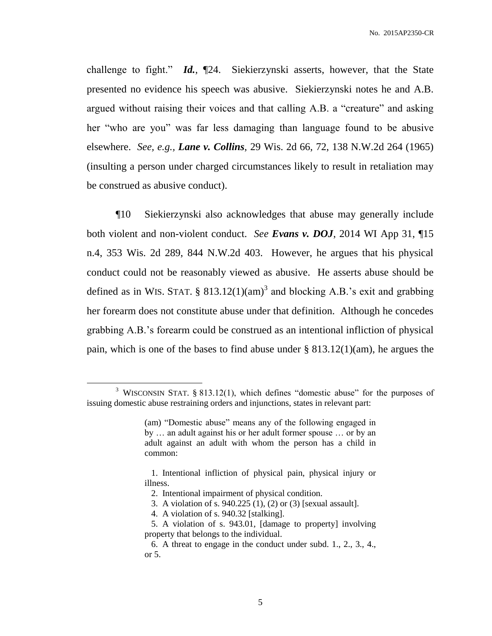challenge to fight." *Id.*, ¶24. Siekierzynski asserts, however, that the State presented no evidence his speech was abusive. Siekierzynski notes he and A.B. argued without raising their voices and that calling A.B. a "creature" and asking her "who are you" was far less damaging than language found to be abusive elsewhere. *See, e.g., Lane v. Collins*, 29 Wis. 2d 66, 72, 138 N.W.2d 264 (1965) (insulting a person under charged circumstances likely to result in retaliation may be construed as abusive conduct).

¶10 Siekierzynski also acknowledges that abuse may generally include both violent and non-violent conduct. *See Evans v. DOJ*, 2014 WI App 31, ¶15 n.4, 353 Wis. 2d 289, 844 N.W.2d 403. However, he argues that his physical conduct could not be reasonably viewed as abusive. He asserts abuse should be defined as in WIS. STAT. § 813.12(1)(am)<sup>3</sup> and blocking A.B.'s exit and grabbing her forearm does not constitute abuse under that definition. Although he concedes grabbing A.B.'s forearm could be construed as an intentional infliction of physical pain, which is one of the bases to find abuse under § 813.12(1)(am), he argues the

 $\overline{a}$ 

<sup>&</sup>lt;sup>3</sup> WISCONSIN STAT. § 813.12(1), which defines "domestic abuse" for the purposes of issuing domestic abuse restraining orders and injunctions, states in relevant part:

<sup>(</sup>am) "Domestic abuse" means any of the following engaged in by … an adult against his or her adult former spouse … or by an adult against an adult with whom the person has a child in common:

 <sup>1.</sup> Intentional infliction of physical pain, physical injury or illness.

 <sup>2.</sup> Intentional impairment of physical condition.

 <sup>3.</sup> A violation of s. 940.225 (1), (2) or (3) [sexual assault].

 <sup>4.</sup> A violation of s. 940.32 [stalking].

 <sup>5.</sup> A violation of s. 943.01, [damage to property] involving property that belongs to the individual.

 <sup>6.</sup> A threat to engage in the conduct under subd. 1., 2., 3., 4., or 5.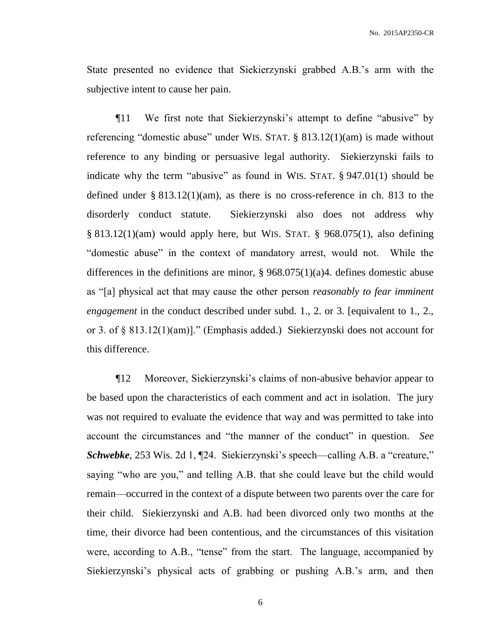State presented no evidence that Siekierzynski grabbed A.B.'s arm with the subjective intent to cause her pain.

¶11 We first note that Siekierzynski's attempt to define "abusive" by referencing "domestic abuse" under WIS. STAT. § 813.12(1)(am) is made without reference to any binding or persuasive legal authority. Siekierzynski fails to indicate why the term "abusive" as found in WIS. STAT. § 947.01(1) should be defined under § 813.12(1)(am), as there is no cross-reference in ch. 813 to the disorderly conduct statute. Siekierzynski also does not address why § 813.12(1)(am) would apply here, but WIS. STAT. § 968.075(1), also defining "domestic abuse" in the context of mandatory arrest, would not. While the differences in the definitions are minor,  $\S 968.075(1)(a)4$ . defines domestic abuse as "[a] physical act that may cause the other person *reasonably to fear imminent engagement* in the conduct described under subd. 1., 2. or 3. [equivalent to 1., 2., or 3. of § 813.12(1)(am)]." (Emphasis added.) Siekierzynski does not account for this difference.

¶12 Moreover, Siekierzynski's claims of non-abusive behavior appear to be based upon the characteristics of each comment and act in isolation. The jury was not required to evaluate the evidence that way and was permitted to take into account the circumstances and "the manner of the conduct" in question. *See Schwebke*, 253 Wis. 2d 1, ¶24. Siekierzynski's speech—calling A.B. a "creature," saying "who are you," and telling A.B. that she could leave but the child would remain—occurred in the context of a dispute between two parents over the care for their child. Siekierzynski and A.B. had been divorced only two months at the time, their divorce had been contentious, and the circumstances of this visitation were, according to A.B., "tense" from the start. The language, accompanied by Siekierzynski's physical acts of grabbing or pushing A.B.'s arm, and then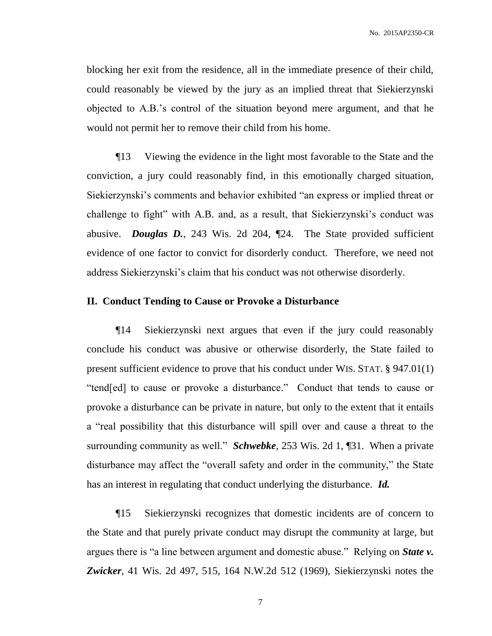blocking her exit from the residence, all in the immediate presence of their child, could reasonably be viewed by the jury as an implied threat that Siekierzynski objected to A.B.'s control of the situation beyond mere argument, and that he would not permit her to remove their child from his home.

¶13 Viewing the evidence in the light most favorable to the State and the conviction, a jury could reasonably find, in this emotionally charged situation, Siekierzynski's comments and behavior exhibited "an express or implied threat or challenge to fight" with A.B. and, as a result, that Siekierzynski's conduct was abusive. *Douglas D.*, 243 Wis. 2d 204, ¶24. The State provided sufficient evidence of one factor to convict for disorderly conduct. Therefore, we need not address Siekierzynski's claim that his conduct was not otherwise disorderly.

## **II. Conduct Tending to Cause or Provoke a Disturbance**

¶14 Siekierzynski next argues that even if the jury could reasonably conclude his conduct was abusive or otherwise disorderly, the State failed to present sufficient evidence to prove that his conduct under WIS. STAT. § 947.01(1) "tend[ed] to cause or provoke a disturbance." Conduct that tends to cause or provoke a disturbance can be private in nature, but only to the extent that it entails a "real possibility that this disturbance will spill over and cause a threat to the surrounding community as well." *Schwebke*, 253 Wis. 2d 1, ¶31. When a private disturbance may affect the "overall safety and order in the community," the State has an interest in regulating that conduct underlying the disturbance. *Id.*

¶15 Siekierzynski recognizes that domestic incidents are of concern to the State and that purely private conduct may disrupt the community at large, but argues there is "a line between argument and domestic abuse." Relying on *State v. Zwicker*, 41 Wis. 2d 497, 515, 164 N.W.2d 512 (1969), Siekierzynski notes the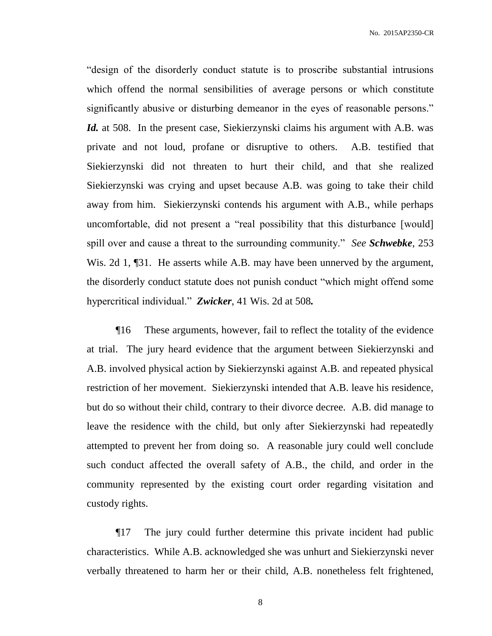"design of the disorderly conduct statute is to proscribe substantial intrusions which offend the normal sensibilities of average persons or which constitute significantly abusive or disturbing demeanor in the eyes of reasonable persons." *Id.* at 508. In the present case, Siekierzynski claims his argument with A.B. was private and not loud, profane or disruptive to others. A.B. testified that Siekierzynski did not threaten to hurt their child, and that she realized Siekierzynski was crying and upset because A.B. was going to take their child away from him. Siekierzynski contends his argument with A.B., while perhaps uncomfortable, did not present a "real possibility that this disturbance [would] spill over and cause a threat to the surrounding community." *See Schwebke*, 253 Wis. 2d 1, [31. He asserts while A.B. may have been unnerved by the argument, the disorderly conduct statute does not punish conduct "which might offend some hypercritical individual." *Zwicker*, 41 Wis. 2d at 508*.*

¶16 These arguments, however, fail to reflect the totality of the evidence at trial. The jury heard evidence that the argument between Siekierzynski and A.B. involved physical action by Siekierzynski against A.B. and repeated physical restriction of her movement. Siekierzynski intended that A.B. leave his residence, but do so without their child, contrary to their divorce decree. A.B. did manage to leave the residence with the child, but only after Siekierzynski had repeatedly attempted to prevent her from doing so. A reasonable jury could well conclude such conduct affected the overall safety of A.B., the child, and order in the community represented by the existing court order regarding visitation and custody rights.

¶17 The jury could further determine this private incident had public characteristics. While A.B. acknowledged she was unhurt and Siekierzynski never verbally threatened to harm her or their child, A.B. nonetheless felt frightened,